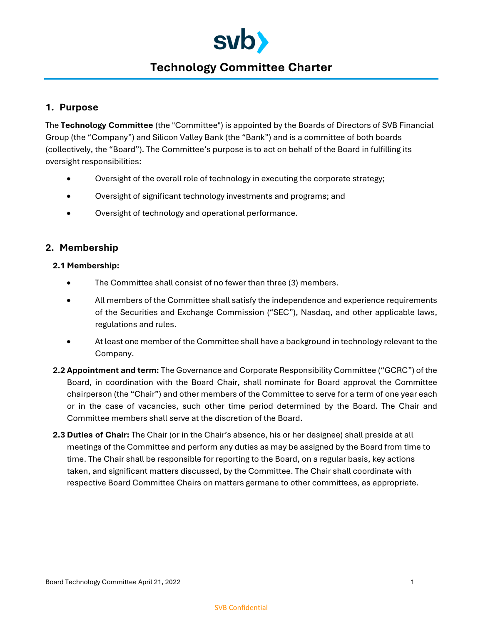

# **Technology Committee Charter**

# **1. Purpose**

The **Technology Committee** (the "Committee") is appointed by the Boards of Directors of SVB Financial Group (the "Company") and Silicon Valley Bank (the "Bank") and is a committee of both boards (collectively, the "Board"). The Committee's purpose is to act on behalf of the Board in fulfilling its oversight responsibilities:

- Oversight of the overall role of technology in executing the corporate strategy;
- Oversight of significant technology investments and programs; and
- Oversight of technology and operational performance.

## **2. Membership**

#### **2.1 Membership:**

- The Committee shall consist of no fewer than three (3) members.
- All members of the Committee shall satisfy the independence and experience requirements of the Securities and Exchange Commission ("SEC"), Nasdaq, and other applicable laws, regulations and rules.
- At least one member of the Committee shall have a background in technology relevant to the Company.
- **2.2 Appointment and term:** The Governance and Corporate Responsibility Committee ("GCRC") of the Board, in coordination with the Board Chair, shall nominate for Board approval the Committee chairperson (the "Chair") and other members of the Committee to serve for a term of one year each or in the case of vacancies, such other time period determined by the Board. The Chair and Committee members shall serve at the discretion of the Board.
- **2.3 Duties of Chair:** The Chair (or in the Chair's absence, his or her designee) shall preside at all meetings of the Committee and perform any duties as may be assigned by the Board from time to time. The Chair shall be responsible for reporting to the Board, on a regular basis, key actions taken, and significant matters discussed, by the Committee. The Chair shall coordinate with respective Board Committee Chairs on matters germane to other committees, as appropriate.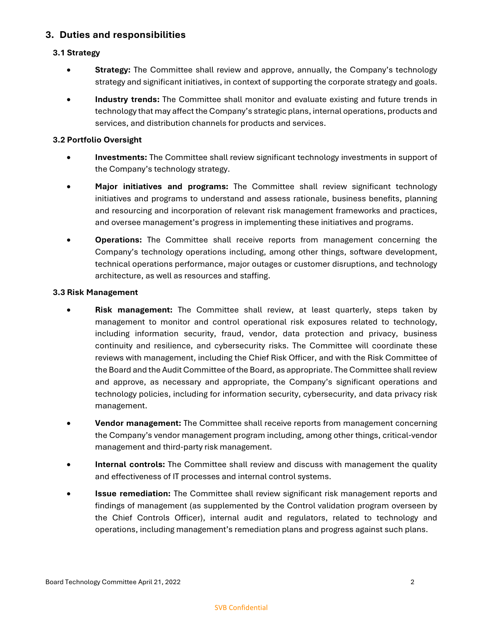# **3. Duties and responsibilities**

## **3.1 Strategy**

- **Strategy:** The Committee shall review and approve, annually, the Company's technology strategy and significant initiatives, in context of supporting the corporate strategy and goals.
- **Industry trends:** The Committee shall monitor and evaluate existing and future trends in technology that may affect the Company's strategic plans, internal operations, products and services, and distribution channels for products and services.

#### **3.2 Portfolio Oversight**

- **Investments:** The Committee shall review significant technology investments in support of the Company's technology strategy.
- **Major initiatives and programs:** The Committee shall review significant technology initiatives and programs to understand and assess rationale, business benefits, planning and resourcing and incorporation of relevant risk management frameworks and practices, and oversee management's progress in implementing these initiatives and programs.
- **Operations:** The Committee shall receive reports from management concerning the Company's technology operations including, among other things, software development, technical operations performance, major outages or customer disruptions, and technology architecture, as well as resources and staffing.

#### **3.3 Risk Management**

- **Risk management:** The Committee shall review, at least quarterly, steps taken by management to monitor and control operational risk exposures related to technology, including information security, fraud, vendor, data protection and privacy, business continuity and resilience, and cybersecurity risks. The Committee will coordinate these reviews with management, including the Chief Risk Officer, and with the Risk Committee of the Board and the Audit Committee of the Board, as appropriate. The Committee shall review and approve, as necessary and appropriate, the Company's significant operations and technology policies, including for information security, cybersecurity, and data privacy risk management.
- **Vendor management:** The Committee shall receive reports from management concerning the Company's vendor management program including, among other things, critical-vendor management and third-party risk management.
- **Internal controls:** The Committee shall review and discuss with management the quality and effectiveness of IT processes and internal control systems.
- **Issue remediation:** The Committee shall review significant risk management reports and findings of management (as supplemented by the Control validation program overseen by the Chief Controls Officer), internal audit and regulators, related to technology and operations, including management's remediation plans and progress against such plans.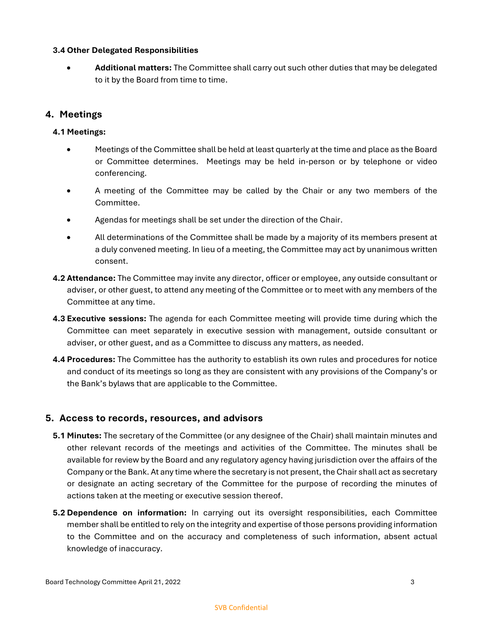#### **3.4 Other Delegated Responsibilities**

**•** Additional matters: The Committee shall carry out such other duties that may be delegated to it by the Board from time to time.

# **4. Meetings**

## **4.1 Meetings:**

- Meetings of the Committee shall be held at least quarterly at the time and place as the Board or Committee determines. Meetings may be held in-person or by telephone or video conferencing.
- A meeting of the Committee may be called by the Chair or any two members of the Committee.
- Agendas for meetings shall be set under the direction of the Chair.
- All determinations of the Committee shall be made by a majority of its members present at a duly convened meeting. In lieu of a meeting, the Committee may act by unanimous written consent.
- **4.2 Attendance:** The Committee may invite any director, officer or employee, any outside consultant or adviser, or other guest, to attend any meeting of the Committee or to meet with any members of the Committee at any time.
- **4.3 Executive sessions:** The agenda for each Committee meeting will provide time during which the Committee can meet separately in executive session with management, outside consultant or adviser, or other guest, and as a Committee to discuss any matters, as needed.
- **4.4 Procedures:** The Committee has the authority to establish its own rules and procedures for notice and conduct of its meetings so long as they are consistent with any provisions of the Company's or the Bank's bylaws that are applicable to the Committee.

## **5. Access to records, resources, and advisors**

- **5.1 Minutes:** The secretary of the Committee (or any designee of the Chair) shall maintain minutes and other relevant records of the meetings and activities of the Committee. The minutes shall be available for review by the Board and any regulatory agency having jurisdiction over the affairs of the Company or the Bank. At any time where the secretary is not present, the Chair shall act as secretary or designate an acting secretary of the Committee for the purpose of recording the minutes of actions taken at the meeting or executive session thereof.
- **5.2 Dependence on information:** In carrying out its oversight responsibilities, each Committee member shall be entitled to rely on the integrity and expertise of those persons providing information to the Committee and on the accuracy and completeness of such information, absent actual knowledge of inaccuracy.